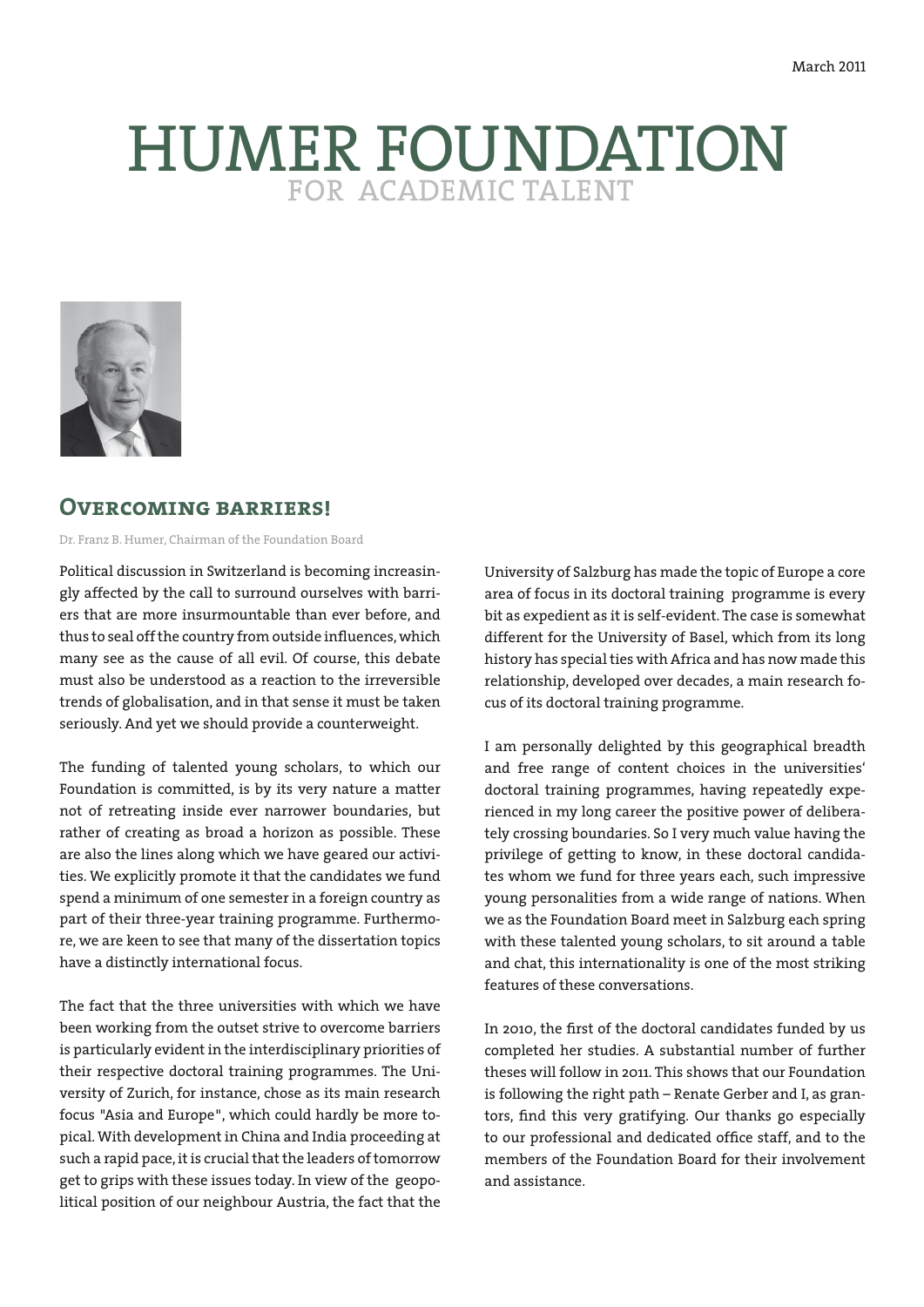# HUMER FOUNDATION



## **Overcoming barriers!**

Dr. Franz B. Humer, Chairman of the Foundation Board

Political discussion in Switzerland is becoming increasingly affected by the call to surround ourselves with barriers that are more insurmountable than ever before, and thus to seal off the country from outside influences, which many see as the cause of all evil. Of course, this debate must also be understood as a reaction to the irreversible trends of globalisation, and in that sense it must be taken seriously. And yet we should provide a counterweight.

The funding of talented young scholars, to which our Foundation is committed, is by its very nature a matter not of retreating inside ever narrower boundaries, but rather of creating as broad a horizon as possible. These are also the lines along which we have geared our activities. We explicitly promote it that the candidates we fund spend a minimum of one semester in a foreign country as part of their three-year training programme. Furthermore, we are keen to see that many of the dissertation topics have a distinctly international focus.

The fact that the three universities with which we have been working from the outset strive to overcome barriers is particularly evident in the interdisciplinary priorities of their respective doctoral training programmes. The University of Zurich, for instance, chose as its main research focus "Asia and Europe", which could hardly be more topical. With development in China and India proceeding at such a rapid pace, it is crucial that the leaders of tomorrow get to grips with these issues today. In view of the geopolitical position of our neighbour Austria, the fact that the University of Salzburg has made the topic of Europe a core area of focus in its doctoral training programme is every bit as expedient as it is self-evident. The case is somewhat different for the University of Basel, which from its long history has special ties with Africa and has now made this relationship, developed over decades, a main research focus of its doctoral training programme.

I am personally delighted by this geographical breadth and free range of content choices in the universities' doctoral training programmes, having repeatedly experienced in my long career the positive power of deliberately crossing boundaries. So I very much value having the privilege of getting to know, in these doctoral candidates whom we fund for three years each, such impressive young personalities from a wide range of nations. When we as the Foundation Board meet in Salzburg each spring with these talented young scholars, to sit around a table and chat, this internationality is one of the most striking features of these conversations.

In 2010, the first of the doctoral candidates funded by us completed her studies. A substantial number of further theses will follow in 2011. This shows that our Foundation is following the right path – Renate Gerber and I, as grantors, find this very gratifying. Our thanks go especially to our professional and dedicated office staff, and to the members of the Foundation Board for their involvement and assistance.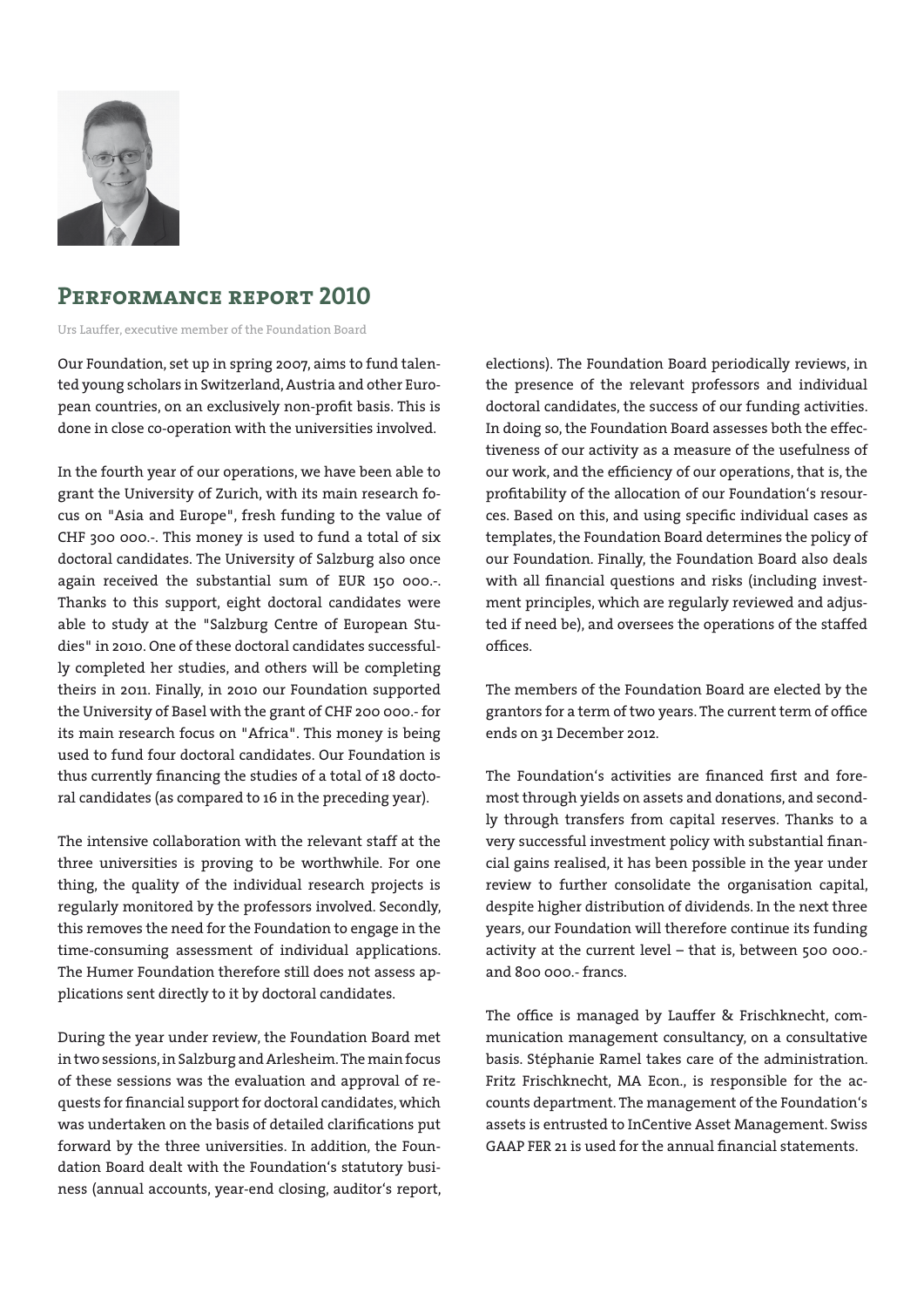

# **Performance report 2010**

Urs Lauffer, executive member of the Foundation Board

Our Foundation, set up in spring 2007, aims to fund talented young scholars in Switzerland, Austria and other European countries, on an exclusively non-profit basis. This is done in close co-operation with the universities involved.

In the fourth year of our operations, we have been able to grant the University of Zurich, with its main research focus on "Asia and Europe", fresh funding to the value of CHF 300 000.-. This money is used to fund a total of six doctoral candidates. The University of Salzburg also once again received the substantial sum of EUR 150 000.-. Thanks to this support, eight doctoral candidates were able to study at the "Salzburg Centre of European Studies" in 2010. One of these doctoral candidates successfully completed her studies, and others will be completing theirs in 2011. Finally, in 2010 our Foundation supported the University of Basel with the grant of CHF 200 000.- for its main research focus on "Africa". This money is being used to fund four doctoral candidates. Our Foundation is thus currently financing the studies of a total of 18 doctoral candidates (as compared to 16 in the preceding year).

The intensive collaboration with the relevant staff at the three universities is proving to be worthwhile. For one thing, the quality of the individual research projects is regularly monitored by the professors involved. Secondly, this removes the need for the Foundation to engage in the time-consuming assessment of individual applications. The Humer Foundation therefore still does not assess applications sent directly to it by doctoral candidates.

During the year under review, the Foundation Board met in two sessions, in Salzburg and Arlesheim. The main focus of these sessions was the evaluation and approval of requests for financial support for doctoral candidates, which was undertaken on the basis of detailed clarifications put forward by the three universities. In addition, the Foundation Board dealt with the Foundation's statutory business (annual accounts, year-end closing, auditor's report,

elections). The Foundation Board periodically reviews, in the presence of the relevant professors and individual doctoral candidates, the success of our funding activities. In doing so, the Foundation Board assesses both the effectiveness of our activity as a measure of the usefulness of our work, and the efficiency of our operations, that is, the profitability of the allocation of our Foundation's resources. Based on this, and using specific individual cases as templates, the Foundation Board determines the policy of our Foundation. Finally, the Foundation Board also deals with all financial questions and risks (including investment principles, which are regularly reviewed and adjusted if need be), and oversees the operations of the staffed offices.

The members of the Foundation Board are elected by the grantors for a term of two years. The current term of office ends on 31 December 2012.

The Foundation's activities are financed first and foremost through yields on assets and donations, and secondly through transfers from capital reserves. Thanks to a very successful investment policy with substantial financial gains realised, it has been possible in the year under review to further consolidate the organisation capital, despite higher distribution of dividends. In the next three years, our Foundation will therefore continue its funding activity at the current level – that is, between 500 000. and 800 000.- francs.

The office is managed by Lauffer & Frischknecht, communication management consultancy, on a consultative basis. Stéphanie Ramel takes care of the administration. Fritz Frischknecht, MA Econ., is responsible for the accounts department. The management of the Foundation's assets is entrusted to InCentive Asset Management. Swiss GAAP FER 21 is used for the annual financial statements.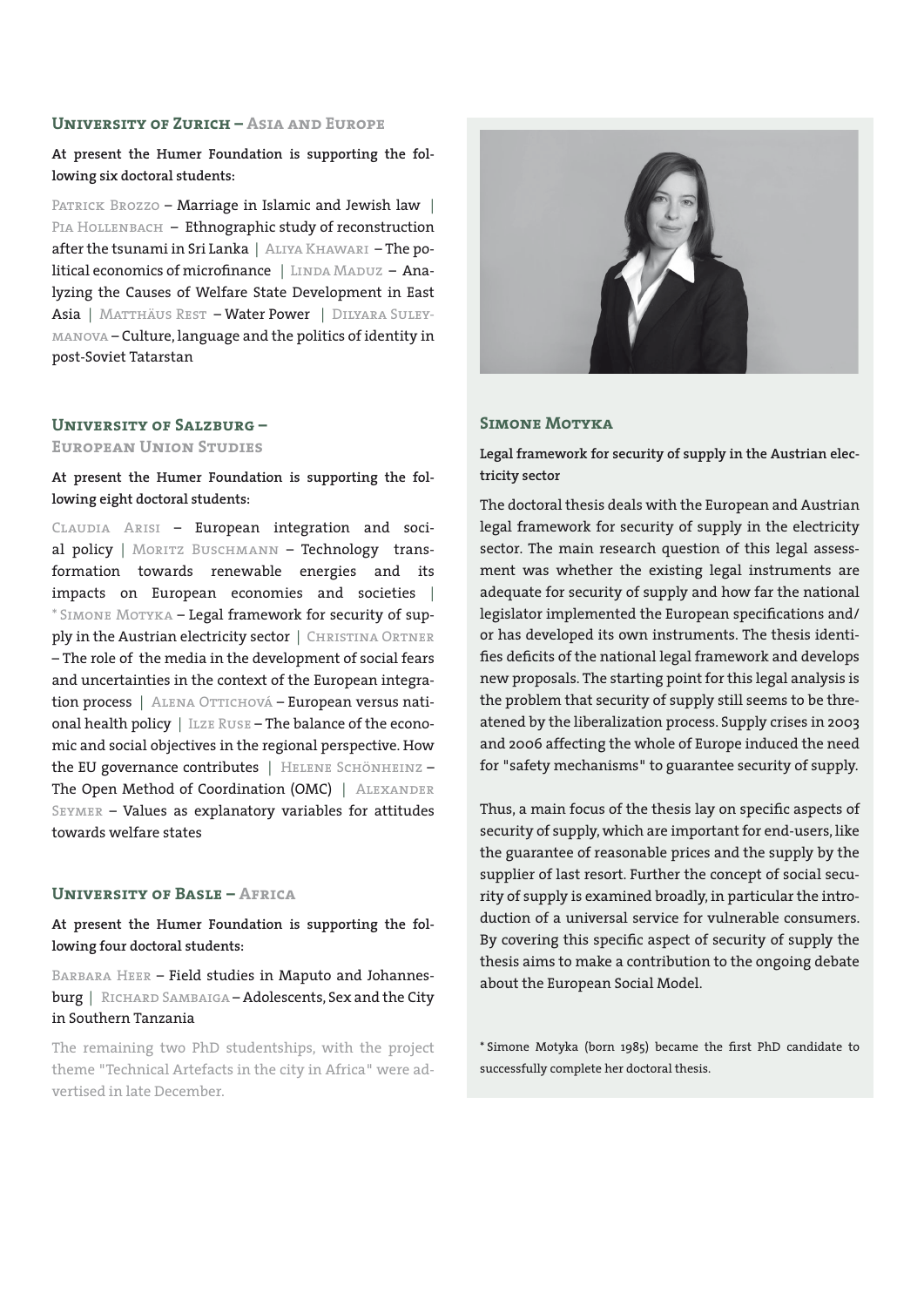#### **University of Zurich – Asia and Europe**

**At present the Humer Foundation is supporting the following six doctoral students:**

PATRICK BROZZO - Marriage in Islamic and Jewish law | PIA HOLLENBACH – Ethnographic study of reconstruction after the tsunami in Sri Lanka | Aliya Khawari – The political economics of microfinance | LINDA MADUZ - Analyzing the Causes of Welfare State Development in East Asia | MATTHÄUS REST - Water Power | DILYARA SULEYmanova – Culture, language and the politics of identity in post-Soviet Tatarstan

#### **University of Salzburg –**

#### **European Union Studies**

**At present the Humer Foundation is supporting the following eight doctoral students:**

Claudia Arisi – European integration and social policy | MORITZ BUSCHMANN - Technology transformation towards renewable energies and its impacts on European economies and societies | \* Simone Motyka – Legal framework for security of supply in the Austrian electricity sector | CHRISTINA ORTNER – The role of the media in the development of social fears and uncertainties in the context of the European integration process | ALENA OTTICHOVÁ – European versus national health policy | ILZE RUSE - The balance of the economic and social objectives in the regional perspective. How the EU governance contributes | HELENE SCHÖNHEINZ -The Open Method of Coordination (OMC) | ALEXANDER Seymer – Values as explanatory variables for attitudes towards welfare states

### **University of Basle – Africa**

**At present the Humer Foundation is supporting the following four doctoral students:**

BARBARA HEER - Field studies in Maputo and Johannesburg | RICHARD SAMBAIGA - Adolescents, Sex and the City in Southern Tanzania

The remaining two PhD studentships, with the project theme "Technical Artefacts in the city in Africa" were advertised in late December.



#### **Simone Motyka**

**Legal framework for security of supply in the Austrian electricity sector**

The doctoral thesis deals with the European and Austrian legal framework for security of supply in the electricity sector. The main research question of this legal assessment was whether the existing legal instruments are adequate for security of supply and how far the national legislator implemented the European specifications and/ or has developed its own instruments. The thesis identifies deficits of the national legal framework and develops new proposals. The starting point for this legal analysis is the problem that security of supply still seems to be threatened by the liberalization process. Supply crises in 2003 and 2006 affecting the whole of Europe induced the need for "safety mechanisms" to guarantee security of supply.

Thus, a main focus of the thesis lay on specific aspects of security of supply, which are important for end-users, like the guarantee of reasonable prices and the supply by the supplier of last resort. Further the concept of social security of supply is examined broadly, in particular the introduction of a universal service for vulnerable consumers. By covering this specific aspect of security of supply the thesis aims to make a contribution to the ongoing debate about the European Social Model.

\* Simone Motyka (born 1985) became the first PhD candidate to successfully complete her doctoral thesis.